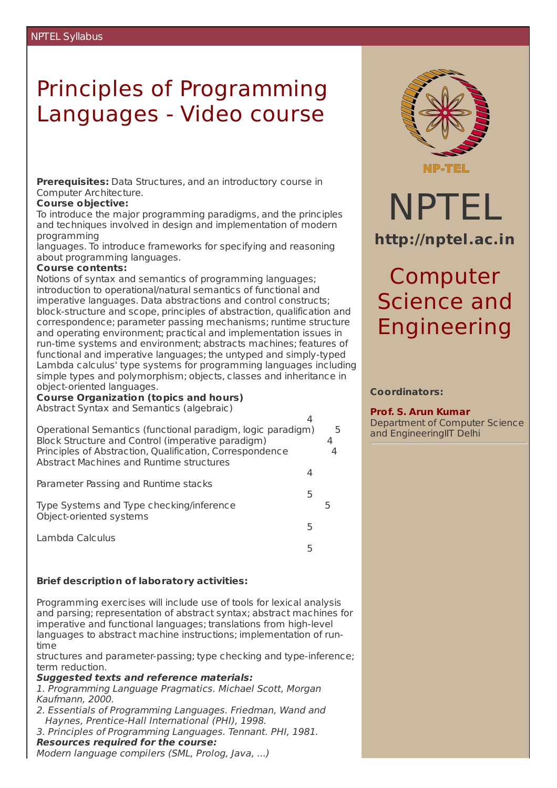### Principles of Programming Languages - Video course

**Prerequisites:** Data Structures, and an introductory course in Computer Architecture.

#### **Course objective:**

To introduce the major programming paradigms, and the principles and techniques involved in design and implementation of modern programming

languages. To introduce frameworks for specifying and reasoning about programming languages.

#### **Course contents:**

Notions of syntax and semantics of programming languages; introduction to operational/natural semantics of functional and imperative languages. Data abstractions and control constructs; block-structure and scope, principles of abstraction, qualification and correspondence; parameter passing mechanisms; runtime structure and operating environment; practical and implementation issues in run-time systems and environment; abstracts machines; features of functional and imperative languages; the untyped and simply-typed Lambda calculus' type systems for programming languages including simple types and polymorphism; objects, classes and inheritance in object-oriented languages.

**Course Organization (topics and hours)**

Abstract Syntax and Semantics (algebraic)

| Operational Semantics (functional paradigm, logic paradigm)<br>Block Structure and Control (imperative paradigm) |   | 5 |
|------------------------------------------------------------------------------------------------------------------|---|---|
| Principles of Abstraction, Qualification, Correspondence<br>Abstract Machines and Runtime structures             |   |   |
| Parameter Passing and Runtime stacks                                                                             | 5 |   |
| Type Systems and Type checking/inference<br>Object-oriented systems                                              |   |   |
| Lambda Calculus                                                                                                  | 5 |   |
|                                                                                                                  |   |   |

#### **Brief description of laboratory activities:**

Programming exercises will include use of tools for lexical analysis and parsing; representation of abstract syntax; abstract machines for imperative and functional languages; translations from high-level languages to abstract machine instructions; implementation of runtime

structures and parameter-passing; type checking and type-inference; term reduction.

#### **Suggested texts and reference materials:**

1. Programming Language Pragmatics. Michael Scott, Morgan Kaufmann, 2000.

- 2. Essentials of Programming Languages. Friedman, Wand and Haynes, Prentice-Hall International (PHI), 1998.
- 3. Principles of Programming Languages. Tennant. PHI, 1981. **Resources required for the course:**

### Modern language compilers (SML, Prolog, Java, ...)



# NPTEL **http://nptel.ac.in**

## Computer Science and Engineering

#### **Coordinators:**

#### **Prof. S. Arun Kumar**

Department of Computer Science and EngineeringIIT Delhi